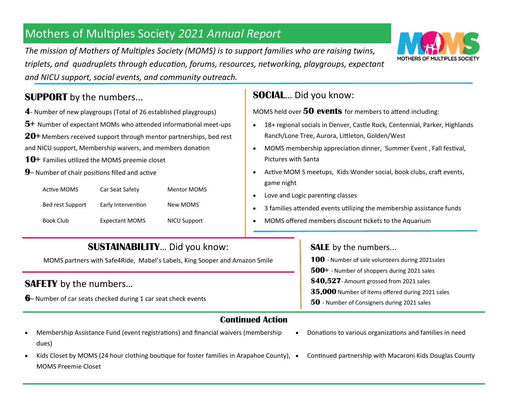# Mothers of Multiples Society *2021 Annual Report*

*The mission of Mothers of Multiples Society (MOMS) is to support families who are raising twins, triplets, and quadruplets through education, forums, resources, networking, playgroups, expectant and NICU support, social events, and community outreach.*

## **SUPPORT** by the numbers...

- **4** Number of new playgroups (Total of 26 established playgroups)
- **5+** Number of expectant MOMs who attended informational meet-ups
- **20+** Members received support through mentor partnerships, bed rest
- and NICU support, Membership waivers, and members donation
- **10+** Families utilized the MOMS preemie closet
- **9** Number of chair positions filled and active

| Active MOMS      | Car Seat Safety       | <b>Mentor MOMS</b> |
|------------------|-----------------------|--------------------|
| Bed rest Support | Early Intervention    | New MOMS           |
| Book Club        | <b>Expectant MOMS</b> | NICU Support       |

### **SOCIAL**… Did you know:

MOMS held over **50 events** for members to attend including:

- 18+ regional socials in Denver, Castle Rock, Centennial, Parker, Highlands Ranch/Lone Tree, Aurora, Littleton, Golden/West
- MOMS membership appreciation dinner, Summer Event , Fall festival, Pictures with Santa
- Active MOM S meetups, Kids Wonder social, book clubs, craft events, game night
- Love and Logic parenting classes
- 3 families attended events utilizing the membership assistance funds
- MOMS offered members discount tickets to the Aquarium

#### **SUSTAINABILITY**… Did you know: MOMS partners with Safe4Ride, Mabel's Labels, King Sooper and Amazon Smile **SAFETY** by the numbers… **6**– Number of car seats checked during 1 car seat check events **SALE** by the numbers... **100** - Number of sale volunteers during 2021sales **500+** - Number of shoppers during 2021 sales **\$40,527**- Amount grossed from 2021 sales **35,000** Number of items offered during 2021 sales **50** - Number of Consigners during 2021 sales **Continued Action**

- Membership Assistance Fund (event registrations) and financial waivers (membership dues)
- Kids Closet by MOMS (24 hour clothing boutique for foster families in Arapahoe County),  $\bullet$ MOMS Preemie Closet
- Donations to various organizations and families in need
- Continued partnership with Macaroni Kids Douglas County